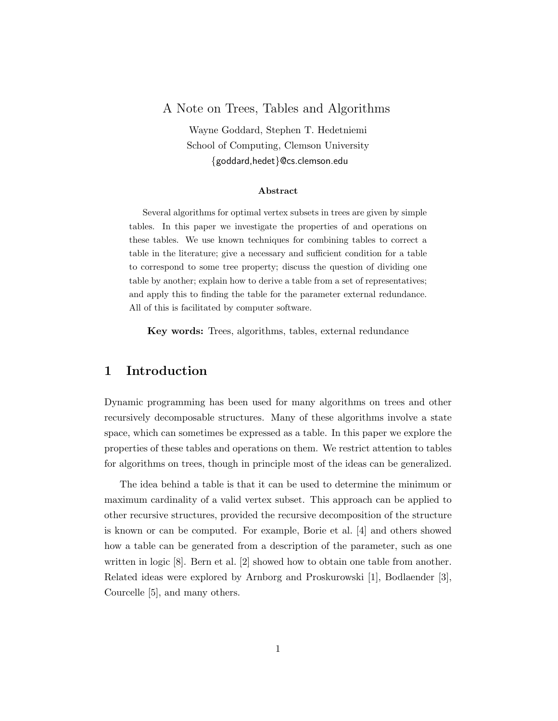## A Note on Trees, Tables and Algorithms

Wayne Goddard, Stephen T. Hedetniemi School of Computing, Clemson University {goddard,hedet}@cs.clemson.edu

#### Abstract

Several algorithms for optimal vertex subsets in trees are given by simple tables. In this paper we investigate the properties of and operations on these tables. We use known techniques for combining tables to correct a table in the literature; give a necessary and sufficient condition for a table to correspond to some tree property; discuss the question of dividing one table by another; explain how to derive a table from a set of representatives; and apply this to finding the table for the parameter external redundance. All of this is facilitated by computer software.

Key words: Trees, algorithms, tables, external redundance

# 1 Introduction

Dynamic programming has been used for many algorithms on trees and other recursively decomposable structures. Many of these algorithms involve a state space, which can sometimes be expressed as a table. In this paper we explore the properties of these tables and operations on them. We restrict attention to tables for algorithms on trees, though in principle most of the ideas can be generalized.

The idea behind a table is that it can be used to determine the minimum or maximum cardinality of a valid vertex subset. This approach can be applied to other recursive structures, provided the recursive decomposition of the structure is known or can be computed. For example, Borie et al. [4] and others showed how a table can be generated from a description of the parameter, such as one written in logic [8]. Bern et al. [2] showed how to obtain one table from another. Related ideas were explored by Arnborg and Proskurowski [1], Bodlaender [3], Courcelle [5], and many others.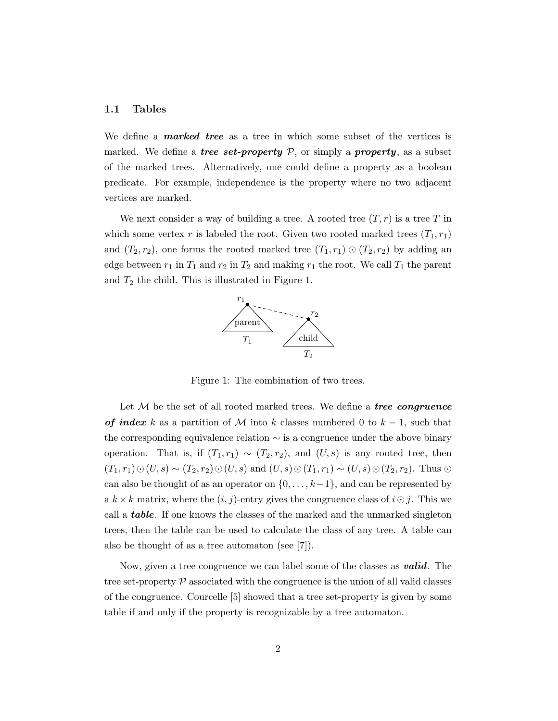#### 1.1 Tables

We define a **marked tree** as a tree in which some subset of the vertices is marked. We define a *tree set-property*  $P$ , or simply a *property*, as a subset of the marked trees. Alternatively, one could define a property as a boolean predicate. For example, independence is the property where no two adjacent vertices are marked.

We next consider a way of building a tree. A rooted tree  $(T, r)$  is a tree T in which some vertex r is labeled the root. Given two rooted marked trees  $(T_1, r_1)$ and  $(T_2, r_2)$ , one forms the rooted marked tree  $(T_1, r_1) \odot (T_2, r_2)$  by adding an edge between  $r_1$  in  $T_1$  and  $r_2$  in  $T_2$  and making  $r_1$  the root. We call  $T_1$  the parent and  $T_2$  the child. This is illustrated in Figure 1.



Figure 1: The combination of two trees.

Let  $M$  be the set of all rooted marked trees. We define a *tree congruence* of index k as a partition of M into k classes numbered 0 to  $k-1$ , such that the corresponding equivalence relation ∼ is a congruence under the above binary operation. That is, if  $(T_1, r_1) \sim (T_2, r_2)$ , and  $(U, s)$  is any rooted tree, then  $(T_1, r_1)\odot(U, s) \sim (T_2, r_2)\odot(U, s)$  and  $(U, s)\odot(T_1, r_1) \sim (U, s)\odot(T_2, r_2)$ . Thus  $\odot$ can also be thought of as an operator on  $\{0, \ldots, k-1\}$ , and can be represented by a  $k \times k$  matrix, where the  $(i, j)$ -entry gives the congruence class of  $i \odot j$ . This we call a **table**. If one knows the classes of the marked and the unmarked singleton trees, then the table can be used to calculate the class of any tree. A table can also be thought of as a tree automaton (see [7]).

Now, given a tree congruence we can label some of the classes as **valid**. The tree set-property  $P$  associated with the congruence is the union of all valid classes of the congruence. Courcelle [5] showed that a tree set-property is given by some table if and only if the property is recognizable by a tree automaton.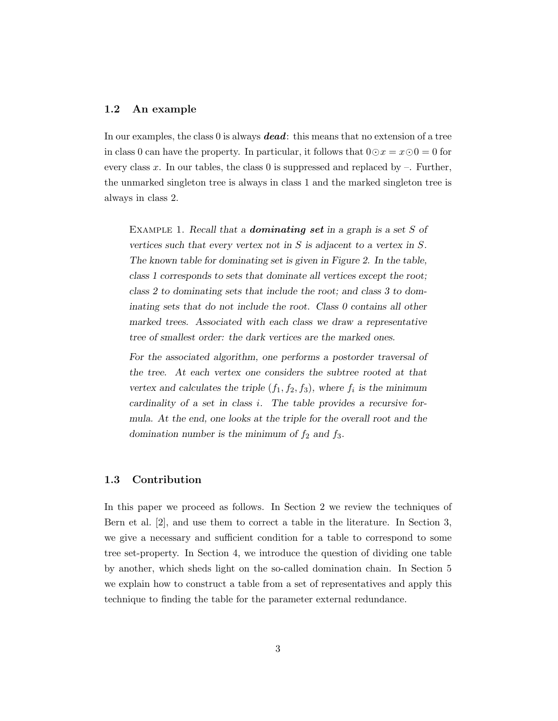#### 1.2 An example

In our examples, the class 0 is always **dead**: this means that no extension of a tree in class 0 can have the property. In particular, it follows that  $0 \odot x = x \odot 0 = 0$  for every class x. In our tables, the class 0 is suppressed and replaced by  $-$ . Further, the unmarked singleton tree is always in class 1 and the marked singleton tree is always in class 2.

EXAMPLE 1. Recall that a **dominating set** in a graph is a set  $S$  of vertices such that every vertex not in  $S$  is adjacent to a vertex in  $S$ . The known table for dominating set is given in Figure 2. In the table, class 1 corresponds to sets that dominate all vertices except the root; class 2 to dominating sets that include the root; and class 3 to dominating sets that do not include the root. Class 0 contains all other marked trees. Associated with each class we draw a representative tree of smallest order: the dark vertices are the marked ones.

For the associated algorithm, one performs a postorder traversal of the tree. At each vertex one considers the subtree rooted at that vertex and calculates the triple  $(f_1, f_2, f_3)$ , where  $f_i$  is the minimum cardinality of a set in class i. The table provides a recursive formula. At the end, one looks at the triple for the overall root and the domination number is the minimum of  $f_2$  and  $f_3$ .

#### 1.3 Contribution

In this paper we proceed as follows. In Section 2 we review the techniques of Bern et al. [2], and use them to correct a table in the literature. In Section 3, we give a necessary and sufficient condition for a table to correspond to some tree set-property. In Section 4, we introduce the question of dividing one table by another, which sheds light on the so-called domination chain. In Section 5 we explain how to construct a table from a set of representatives and apply this technique to finding the table for the parameter external redundance.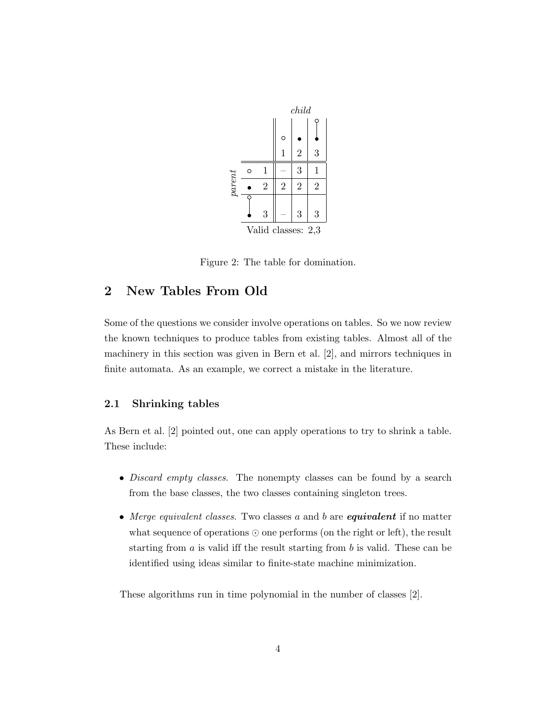

Figure 2: The table for domination.

# 2 New Tables From Old

Some of the questions we consider involve operations on tables. So we now review the known techniques to produce tables from existing tables. Almost all of the machinery in this section was given in Bern et al. [2], and mirrors techniques in finite automata. As an example, we correct a mistake in the literature.

## 2.1 Shrinking tables

As Bern et al. [2] pointed out, one can apply operations to try to shrink a table. These include:

- *Discard empty classes*. The nonempty classes can be found by a search from the base classes, the two classes containing singleton trees.
- Merge equivalent classes. Two classes  $a$  and  $b$  are **equivalent** if no matter what sequence of operations ⊙ one performs (on the right or left), the result starting from  $a$  is valid iff the result starting from  $b$  is valid. These can be identified using ideas similar to finite-state machine minimization.

These algorithms run in time polynomial in the number of classes [2].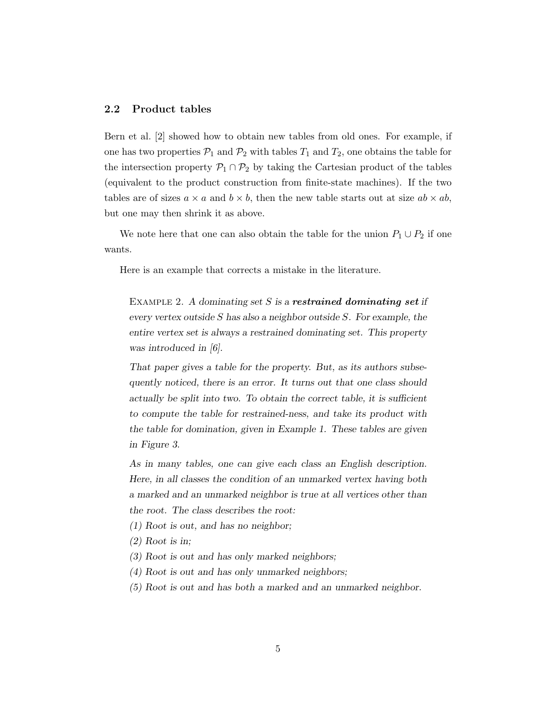#### 2.2 Product tables

Bern et al. [2] showed how to obtain new tables from old ones. For example, if one has two properties  $\mathcal{P}_1$  and  $\mathcal{P}_2$  with tables  $T_1$  and  $T_2$ , one obtains the table for the intersection property  $\mathcal{P}_1 \cap \mathcal{P}_2$  by taking the Cartesian product of the tables (equivalent to the product construction from finite-state machines). If the two tables are of sizes  $a \times a$  and  $b \times b$ , then the new table starts out at size  $ab \times ab$ , but one may then shrink it as above.

We note here that one can also obtain the table for the union  $P_1 \cup P_2$  if one wants.

Here is an example that corrects a mistake in the literature.

EXAMPLE 2. A dominating set  $S$  is a **restrained dominating set** if every vertex outside S has also a neighbor outside  $S$ . For example, the entire vertex set is always a restrained dominating set. This property was introduced in [6].

That paper gives a table for the property. But, as its authors subsequently noticed, there is an error. It turns out that one class should actually be split into two. To obtain the correct table, it is sufficient to compute the table for restrained-ness, and take its product with the table for domination, given in Example 1. These tables are given in Figure 3.

As in many tables, one can give each class an English description. Here, in all classes the condition of an unmarked vertex having both a marked and an unmarked neighbor is true at all vertices other than the root. The class describes the root:

- (1) Root is out, and has no neighbor;
- (2) Root is in;
- (3) Root is out and has only marked neighbors;
- (4) Root is out and has only unmarked neighbors;
- (5) Root is out and has both a marked and an unmarked neighbor.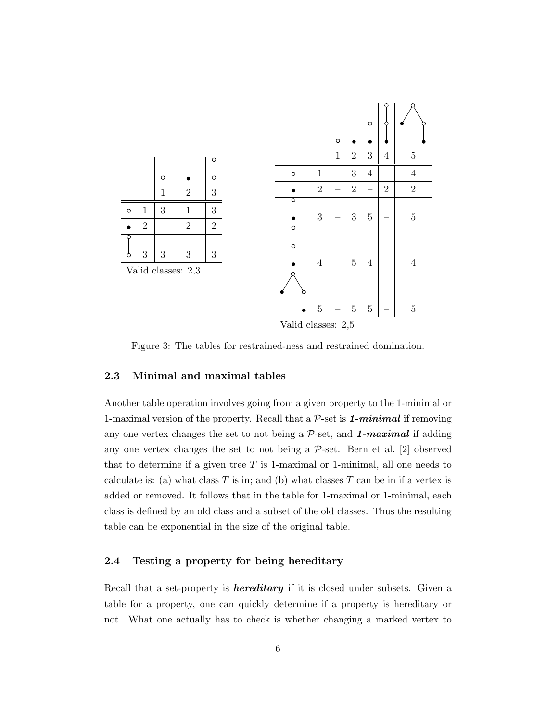

Figure 3: The tables for restrained-ness and restrained domination.

## 2.3 Minimal and maximal tables

Another table operation involves going from a given property to the 1-minimal or 1-maximal version of the property. Recall that a  $P$ -set is 1-minimal if removing any one vertex changes the set to not being a  $P$ -set, and **1**-maximal if adding any one vertex changes the set to not being a  $P$ -set. Bern et al. [2] observed that to determine if a given tree  $T$  is 1-maximal or 1-minimal, all one needs to calculate is: (a) what class  $T$  is in; and (b) what classes  $T$  can be in if a vertex is added or removed. It follows that in the table for 1-maximal or 1-minimal, each class is defined by an old class and a subset of the old classes. Thus the resulting table can be exponential in the size of the original table.

## 2.4 Testing a property for being hereditary

Recall that a set-property is *hereditary* if it is closed under subsets. Given a table for a property, one can quickly determine if a property is hereditary or not. What one actually has to check is whether changing a marked vertex to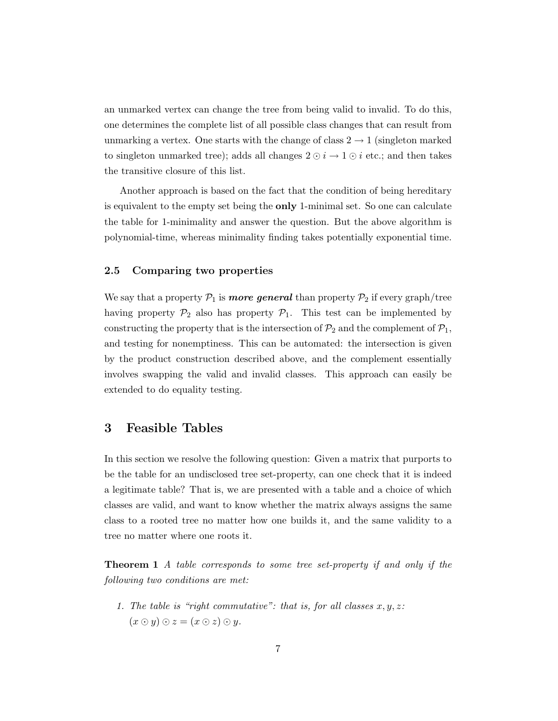an unmarked vertex can change the tree from being valid to invalid. To do this, one determines the complete list of all possible class changes that can result from unmarking a vertex. One starts with the change of class  $2 \rightarrow 1$  (singleton marked to singleton unmarked tree); adds all changes  $2 \odot i \rightarrow 1 \odot i$  etc.; and then takes the transitive closure of this list.

Another approach is based on the fact that the condition of being hereditary is equivalent to the empty set being the only 1-minimal set. So one can calculate the table for 1-minimality and answer the question. But the above algorithm is polynomial-time, whereas minimality finding takes potentially exponential time.

## 2.5 Comparing two properties

We say that a property  $\mathcal{P}_1$  is more general than property  $\mathcal{P}_2$  if every graph/tree having property  $\mathcal{P}_2$  also has property  $\mathcal{P}_1$ . This test can be implemented by constructing the property that is the intersection of  $\mathcal{P}_2$  and the complement of  $\mathcal{P}_1$ , and testing for nonemptiness. This can be automated: the intersection is given by the product construction described above, and the complement essentially involves swapping the valid and invalid classes. This approach can easily be extended to do equality testing.

## 3 Feasible Tables

In this section we resolve the following question: Given a matrix that purports to be the table for an undisclosed tree set-property, can one check that it is indeed a legitimate table? That is, we are presented with a table and a choice of which classes are valid, and want to know whether the matrix always assigns the same class to a rooted tree no matter how one builds it, and the same validity to a tree no matter where one roots it.

Theorem 1 A table corresponds to some tree set-property if and only if the following two conditions are met:

1. The table is "right commutative": that is, for all classes  $x, y, z$ :  $(x \odot y) \odot z = (x \odot z) \odot y.$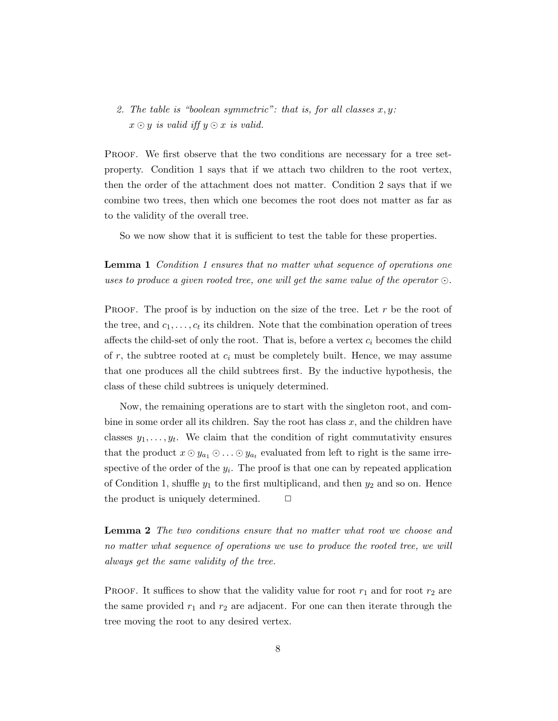2. The table is "boolean symmetric": that is, for all classes  $x, y$ :  $x \odot y$  is valid iff  $y \odot x$  is valid.

Proof. We first observe that the two conditions are necessary for a tree setproperty. Condition 1 says that if we attach two children to the root vertex, then the order of the attachment does not matter. Condition 2 says that if we combine two trees, then which one becomes the root does not matter as far as to the validity of the overall tree.

So we now show that it is sufficient to test the table for these properties.

**Lemma 1** Condition 1 ensures that no matter what sequence of operations one uses to produce a given rooted tree, one will get the same value of the operator  $\odot$ .

**PROOF.** The proof is by induction on the size of the tree. Let r be the root of the tree, and  $c_1, \ldots, c_t$  its children. Note that the combination operation of trees affects the child-set of only the root. That is, before a vertex  $c_i$  becomes the child of r, the subtree rooted at  $c_i$  must be completely built. Hence, we may assume that one produces all the child subtrees first. By the inductive hypothesis, the class of these child subtrees is uniquely determined.

Now, the remaining operations are to start with the singleton root, and combine in some order all its children. Say the root has class  $x$ , and the children have classes  $y_1, \ldots, y_t$ . We claim that the condition of right commutativity ensures that the product  $x \odot y_{a_1} \odot \ldots \odot y_{a_t}$  evaluated from left to right is the same irrespective of the order of the  $y_i$ . The proof is that one can by repeated application of Condition 1, shuffle  $y_1$  to the first multiplicand, and then  $y_2$  and so on. Hence the product is uniquely determined.  $\Box$ 

Lemma 2 The two conditions ensure that no matter what root we choose and no matter what sequence of operations we use to produce the rooted tree, we will always get the same validity of the tree.

**PROOF.** It suffices to show that the validity value for root  $r_1$  and for root  $r_2$  are the same provided  $r_1$  and  $r_2$  are adjacent. For one can then iterate through the tree moving the root to any desired vertex.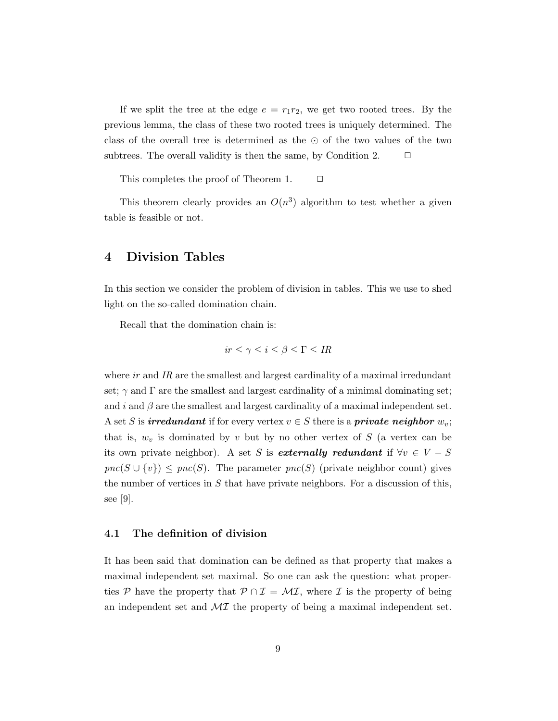If we split the tree at the edge  $e = r_1 r_2$ , we get two rooted trees. By the previous lemma, the class of these two rooted trees is uniquely determined. The class of the overall tree is determined as the ⊙ of the two values of the two subtrees. The overall validity is then the same, by Condition 2.  $\Box$ 

This completes the proof of Theorem 1.  $\Box$ 

This theorem clearly provides an  $O(n^3)$  algorithm to test whether a given table is feasible or not.

## 4 Division Tables

In this section we consider the problem of division in tables. This we use to shed light on the so-called domination chain.

Recall that the domination chain is:

$$
ir \le \gamma \le i \le \beta \le \Gamma \le IR
$$

where  $ir$  and  $IR$  are the smallest and largest cardinality of a maximal irredundant set;  $\gamma$  and  $\Gamma$  are the smallest and largest cardinality of a minimal dominating set; and i and  $\beta$  are the smallest and largest cardinality of a maximal independent set. A set S is **irredundant** if for every vertex  $v \in S$  there is a **private neighbor**  $w_v$ ; that is,  $w_v$  is dominated by v but by no other vertex of S (a vertex can be its own private neighbor). A set S is externally redundant if  $\forall v \in V - S$  $\textit{pnc}(S \cup \{v\}) \le \textit{pnc}(S)$ . The parameter  $\textit{pnc}(S)$  (private neighbor count) gives the number of vertices in  $S$  that have private neighbors. For a discussion of this, see [9].

### 4.1 The definition of division

It has been said that domination can be defined as that property that makes a maximal independent set maximal. So one can ask the question: what properties P have the property that  $\mathcal{P} \cap \mathcal{I} = \mathcal{M}\mathcal{I}$ , where I is the property of being an independent set and  $\mathcal{M}$  the property of being a maximal independent set.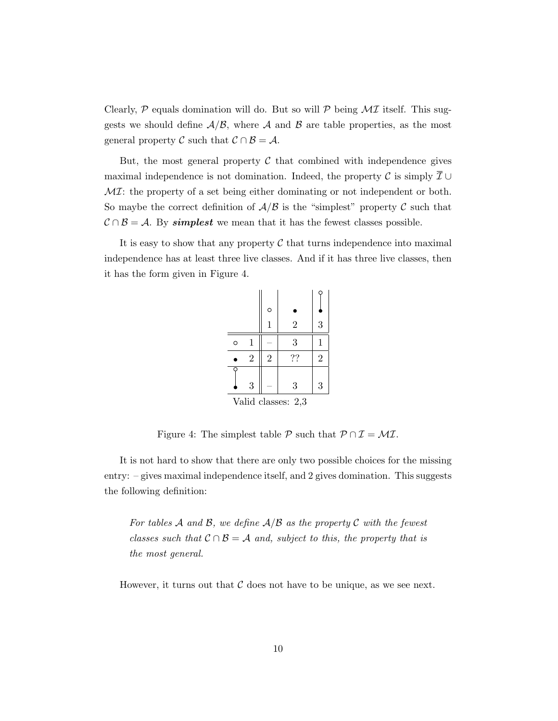Clearly,  $P$  equals domination will do. But so will  $P$  being  $\mathcal{M}I$  itself. This suggests we should define  $\mathcal{A}/\mathcal{B}$ , where  $\mathcal{A}$  and  $\mathcal{B}$  are table properties, as the most general property C such that  $C \cap B = A$ .

But, the most general property  $\mathcal C$  that combined with independence gives maximal independence is not domination. Indeed, the property C is simply  $\overline{\mathcal{I}} \cup$  $\mathcal{M}I$ : the property of a set being either dominating or not independent or both. So maybe the correct definition of  $A/B$  is the "simplest" property C such that  $C \cap B = A$ . By simplest we mean that it has the fewest classes possible.

It is easy to show that any property  $\mathcal C$  that turns independence into maximal independence has at least three live classes. And if it has three live classes, then it has the form given in Figure 4.

|   |                    | $\circ$        |                |                |  |  |  |  |  |  |  |
|---|--------------------|----------------|----------------|----------------|--|--|--|--|--|--|--|
|   |                    | 1              | $\overline{2}$ | 3              |  |  |  |  |  |  |  |
| O | 1                  |                | 3              | 1              |  |  |  |  |  |  |  |
|   | $\overline{2}$     | $\overline{2}$ | ??             | $\overline{2}$ |  |  |  |  |  |  |  |
|   | 3                  |                | 3              | 3              |  |  |  |  |  |  |  |
|   | Valid classes: 2,3 |                |                |                |  |  |  |  |  |  |  |

Figure 4: The simplest table  $P$  such that  $P \cap \mathcal{I} = \mathcal{MI}$ .

It is not hard to show that there are only two possible choices for the missing entry: – gives maximal independence itself, and 2 gives domination. This suggests the following definition:

For tables A and B, we define  $A/B$  as the property C with the fewest classes such that  $C \cap B = A$  and, subject to this, the property that is the most general.

However, it turns out that  $\mathcal C$  does not have to be unique, as we see next.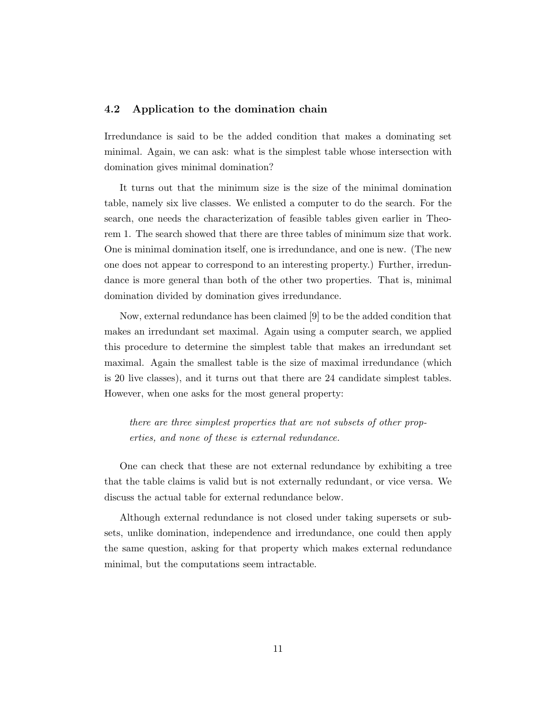#### 4.2 Application to the domination chain

Irredundance is said to be the added condition that makes a dominating set minimal. Again, we can ask: what is the simplest table whose intersection with domination gives minimal domination?

It turns out that the minimum size is the size of the minimal domination table, namely six live classes. We enlisted a computer to do the search. For the search, one needs the characterization of feasible tables given earlier in Theorem 1. The search showed that there are three tables of minimum size that work. One is minimal domination itself, one is irredundance, and one is new. (The new one does not appear to correspond to an interesting property.) Further, irredundance is more general than both of the other two properties. That is, minimal domination divided by domination gives irredundance.

Now, external redundance has been claimed [9] to be the added condition that makes an irredundant set maximal. Again using a computer search, we applied this procedure to determine the simplest table that makes an irredundant set maximal. Again the smallest table is the size of maximal irredundance (which is 20 live classes), and it turns out that there are 24 candidate simplest tables. However, when one asks for the most general property:

there are three simplest properties that are not subsets of other properties, and none of these is external redundance.

One can check that these are not external redundance by exhibiting a tree that the table claims is valid but is not externally redundant, or vice versa. We discuss the actual table for external redundance below.

Although external redundance is not closed under taking supersets or subsets, unlike domination, independence and irredundance, one could then apply the same question, asking for that property which makes external redundance minimal, but the computations seem intractable.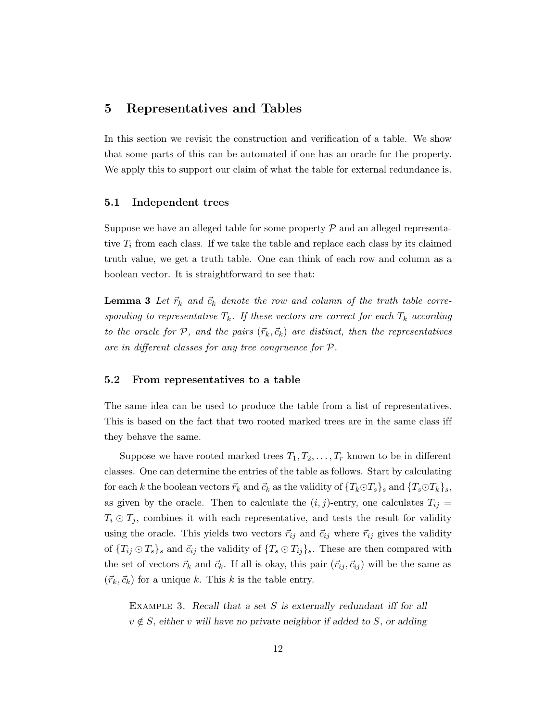## 5 Representatives and Tables

In this section we revisit the construction and verification of a table. We show that some parts of this can be automated if one has an oracle for the property. We apply this to support our claim of what the table for external redundance is.

### 5.1 Independent trees

Suppose we have an alleged table for some property  $\mathcal P$  and an alleged representative  $T_i$  from each class. If we take the table and replace each class by its claimed truth value, we get a truth table. One can think of each row and column as a boolean vector. It is straightforward to see that:

**Lemma 3** Let  $\vec{r}_k$  and  $\vec{c}_k$  denote the row and column of the truth table corresponding to representative  $T_k$ . If these vectors are correct for each  $T_k$  according to the oracle for P, and the pairs  $(\vec{r}_k, \vec{c}_k)$  are distinct, then the representatives are in different classes for any tree congruence for P.

## 5.2 From representatives to a table

The same idea can be used to produce the table from a list of representatives. This is based on the fact that two rooted marked trees are in the same class iff they behave the same.

Suppose we have rooted marked trees  $T_1, T_2, \ldots, T_r$  known to be in different classes. One can determine the entries of the table as follows. Start by calculating for each k the boolean vectors  $\vec{r}_k$  and  $\vec{c}_k$  as the validity of  $\{T_k \odot T_s\}$  and  $\{T_s \odot T_k\}$ , as given by the oracle. Then to calculate the  $(i, j)$ -entry, one calculates  $T_{ij} =$  $T_i \odot T_j$ , combines it with each representative, and tests the result for validity using the oracle. This yields two vectors  $\vec{r}_{ij}$  and  $\vec{c}_{ij}$  where  $\vec{r}_{ij}$  gives the validity of  ${T_{ij} \odot T_s}$  and  $\vec{c}_{ij}$  the validity of  ${T_s \odot T_{ij}}_s$ . These are then compared with the set of vectors  $\vec{r}_k$  and  $\vec{c}_k$ . If all is okay, this pair  $(\vec{r}_{ij}, \vec{c}_{ij})$  will be the same as  $({\vec r}_k, {\vec c}_k)$  for a unique k. This k is the table entry.

EXAMPLE 3. Recall that a set  $S$  is externally redundant iff for all  $v \notin S$ , either v will have no private neighbor if added to S, or adding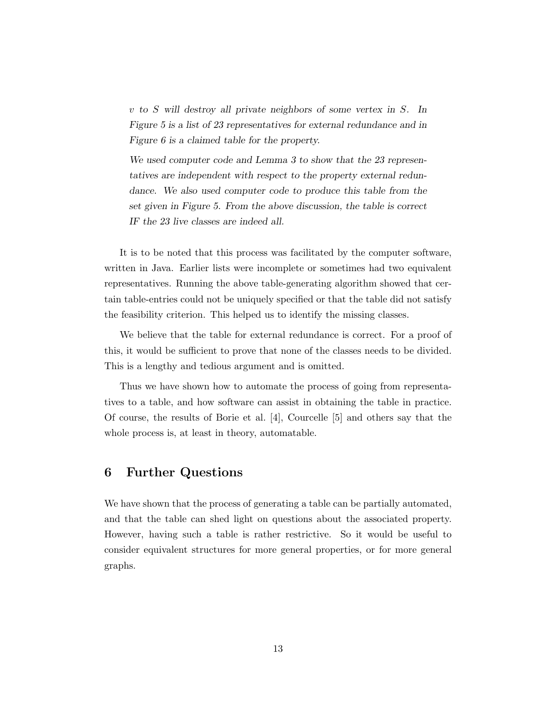v to S will destroy all private neighbors of some vertex in S. In Figure 5 is a list of 23 representatives for external redundance and in Figure 6 is a claimed table for the property.

We used computer code and Lemma 3 to show that the 23 representatives are independent with respect to the property external redundance. We also used computer code to produce this table from the set given in Figure 5. From the above discussion, the table is correct IF the 23 live classes are indeed all.

It is to be noted that this process was facilitated by the computer software, written in Java. Earlier lists were incomplete or sometimes had two equivalent representatives. Running the above table-generating algorithm showed that certain table-entries could not be uniquely specified or that the table did not satisfy the feasibility criterion. This helped us to identify the missing classes.

We believe that the table for external redundance is correct. For a proof of this, it would be sufficient to prove that none of the classes needs to be divided. This is a lengthy and tedious argument and is omitted.

Thus we have shown how to automate the process of going from representatives to a table, and how software can assist in obtaining the table in practice. Of course, the results of Borie et al. [4], Courcelle [5] and others say that the whole process is, at least in theory, automatable.

# 6 Further Questions

We have shown that the process of generating a table can be partially automated, and that the table can shed light on questions about the associated property. However, having such a table is rather restrictive. So it would be useful to consider equivalent structures for more general properties, or for more general graphs.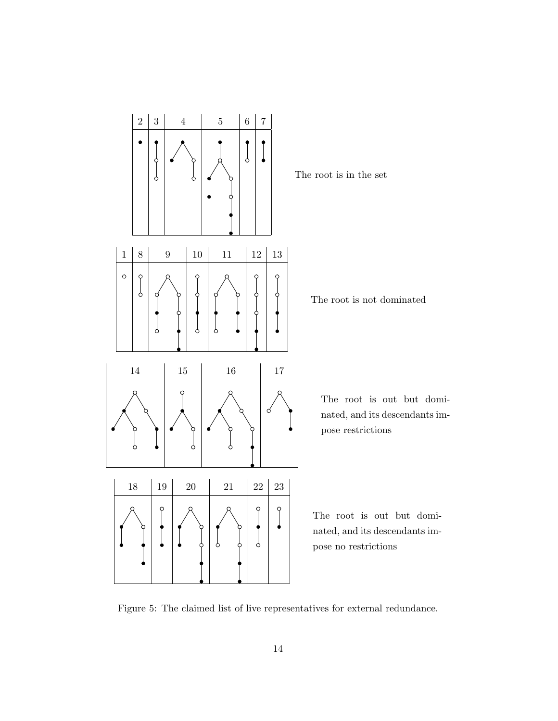

The root is not dominated

The root is out but dominated, and its descendants im-

The root is out but dominated, and its descendants impose no restrictions

Figure 5: The claimed list of live representatives for external redundance.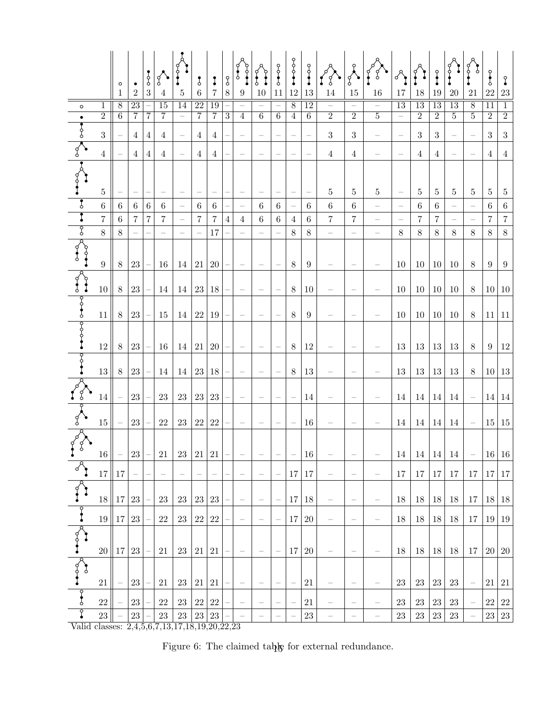|                                                                          |                 | $\circ$<br>1    | $\bullet$<br>$\overline{2}$ | $rac{1}{6}$<br>$\sqrt{3}$ | $\left \left\langle \cdot\right\rangle \right $<br>$\overline{4}$ | $\bf 5$                  | $\mathfrak{z}$<br>$\,6\,$ | I<br>7         | $\S$<br>$8\,$  | $\mathbf{r}$<br>$\boldsymbol{9}$ | $\int\limits_{0}^{\infty}$<br>10 | 0<br>0<br>0<br>0<br>11   | $-0-0-0$<br>$12\,$ | 13                                | $\frac{1}{2} \left  \int_{0}^{2} \left  \int_{0}^{2} \left  \int_{0}^{2} \left  \int_{0}^{2} \left  \int_{0}^{2} \left  \int_{0}^{2} \right  \right  \right  \right ^{2} dx \right ^{2} dx$<br>14 | 15                               | 16                       | $17\,$                   | $18\,$         | 19             | $\frac{1}{2}$ $\frac{1}{2}$ $\frac{1}{2}$<br>$20\,$ | $21\,$                                           | $\sqrt{\frac{6}{5}}$<br>$22\,$ | Į<br>$23\,$    |
|--------------------------------------------------------------------------|-----------------|-----------------|-----------------------------|---------------------------|-------------------------------------------------------------------|--------------------------|---------------------------|----------------|----------------|----------------------------------|----------------------------------|--------------------------|--------------------|-----------------------------------|---------------------------------------------------------------------------------------------------------------------------------------------------------------------------------------------------|----------------------------------|--------------------------|--------------------------|----------------|----------------|-----------------------------------------------------|--------------------------------------------------|--------------------------------|----------------|
| $\circ$                                                                  | 1               | $\overline{8}$  | 23                          |                           | 15                                                                | 14                       | 22                        | 19             |                |                                  |                                  |                          | $\overline{8}$     | 12                                |                                                                                                                                                                                                   | $\qquad \qquad -$                | $\qquad \qquad -$        | $\overline{13}$          | 13             | 13             | 13                                                  | 8                                                | 11                             | 1              |
| $\bullet$                                                                | $\overline{2}$  | $\overline{6}$  | 7                           | 7                         | 7                                                                 | $\qquad \qquad -$        | $\overline{7}$            | 7              | $\overline{3}$ | $\overline{4}$                   | $6\phantom{.}6$                  | $\overline{6}$           | $\overline{4}$     | $6\phantom{.}6$                   | $\overline{2}$                                                                                                                                                                                    | $\overline{2}$                   | $\overline{5}$           | $\overline{\phantom{0}}$ | $\overline{2}$ | $\overline{2}$ | $\overline{5}$                                      | $\overline{5}$                                   | $\overline{2}$                 | $\overline{2}$ |
| $\frac{1}{\sqrt{2}}$                                                     | 3               |                 | $\overline{4}$              | 4                         | $\overline{4}$                                                    |                          | $\overline{4}$            | 4              |                |                                  |                                  |                          |                    | $\overline{\phantom{0}}$          | $\boldsymbol{3}$                                                                                                                                                                                  | $\boldsymbol{3}$                 | $\overline{\phantom{0}}$ |                          | $\sqrt{3}$     | $\sqrt{3}$     |                                                     |                                                  | $\sqrt{3}$                     | $\sqrt{3}$     |
|                                                                          | $\overline{4}$  |                 | $\overline{4}$              | 4                         | $\overline{4}$                                                    |                          | $\overline{4}$            | $\overline{4}$ |                |                                  |                                  |                          |                    |                                   | $\overline{4}$                                                                                                                                                                                    | $\overline{4}$                   | $\overline{\phantom{a}}$ |                          | $\overline{4}$ | $\overline{4}$ |                                                     |                                                  | $\overline{4}$                 | $\overline{4}$ |
| $\begin{array}{c} \n\downarrow \\ \downarrow \\ \downarrow\n\end{array}$ | $\overline{5}$  |                 |                             |                           |                                                                   |                          |                           |                |                |                                  |                                  |                          |                    | $\hspace{1.0cm} - \hspace{1.0cm}$ | $\bf 5$                                                                                                                                                                                           | $\bf 5$                          | $5\,$                    |                          | $\bf 5$        | $\bf 5$        | 5                                                   | $\bf 5$                                          | $5\,$                          | 5              |
|                                                                          | $\sqrt{6}$      | $\,6\,$         | $\,6\,$                     | $\,6\,$                   | $\,6\,$                                                           | $\overline{\phantom{m}}$ | $\,6\,$                   | $\,6\,$        |                |                                  | $\,6\,$                          | $\,6\,$                  |                    | $\,6$                             | $\,6\,$                                                                                                                                                                                           | $\,6\,$                          | $\overline{\phantom{0}}$ |                          | $\,6\,$        | $\,6$          |                                                     |                                                  | $\,6\,$                        | $\,6\,$        |
| $rac{1}{\sqrt{2}}$                                                       | $\overline{7}$  | $6\phantom{.}6$ | $\overline{7}$              | $\overline{7}$            | $\overline{7}$                                                    |                          | $\,7$                     | $\overline{7}$ | $\overline{4}$ | $\overline{4}$                   | $\,6$                            | $\,6\,$                  | $\,4\,$            | $\,6$                             | $\overline{7}$                                                                                                                                                                                    | $\overline{7}$                   |                          |                          | $\overline{7}$ | $\overline{7}$ |                                                     |                                                  | $\,7$                          | $\,7$          |
|                                                                          | 8               | $8\,$           |                             |                           | $\equiv$                                                          | $\equiv$                 | $\equiv$                  | 17             |                |                                  | $\overline{\phantom{0}}$         |                          | 8                  | $8\,$                             | $\frac{1}{2}$                                                                                                                                                                                     | $\qquad \qquad -$                | $\overline{\phantom{0}}$ | $8\,$                    | $8\,$          | $8\,$          | $8\,$                                               | $8\,$                                            | $8\,$                          | $8\,$          |
| $\frac{1}{\sqrt{2}}$                                                     | $\,9$           | 8               | $23\,$                      |                           | 16                                                                | 14                       | 21 20                     |                |                |                                  | -                                | $\overline{\phantom{0}}$ | $8\,$              | 9                                 |                                                                                                                                                                                                   | $\overline{\phantom{m}}$         |                          | 10                       | 10             | 10             | 10                                                  | $8\,$                                            | 9                              | 9              |
| $\begin{bmatrix} 1 \\ 1 \\ 1 \end{bmatrix}$                              | 10 <sup>1</sup> | $8\,$           | 23                          |                           | 14                                                                | 14                       | $23\,$                    | 18             |                |                                  |                                  |                          | $8\,$              | 10                                |                                                                                                                                                                                                   |                                  |                          | $10\,$                   | 10             | 10             | 10                                                  | $8\,$                                            | 10                             | 10             |
| $\frac{1}{2}$                                                            | 11              | $8\,$           | $23\,$                      |                           | $15\,$                                                            | 14                       | 22                        | 19             |                |                                  |                                  |                          | 8                  | $\boldsymbol{9}$                  |                                                                                                                                                                                                   |                                  |                          | $10\,$                   | $10\,$         | 10             | $10\,$                                              | $8\,$                                            | 11                             | 11             |
|                                                                          | $12\,$          | 8               | $23\,$                      |                           | 16                                                                | 14                       |                           | 21 20          |                | $\overline{\phantom{m}}$         |                                  | $\overline{\phantom{0}}$ | $8\,$              | 12                                |                                                                                                                                                                                                   | $\overline{\phantom{m}}$         |                          | 13                       | 13             | 13             | 13                                                  | $8\,$                                            | 9                              | 12             |
| $\frac{8}{1}$                                                            | 13              | $8\,$           | 23                          |                           | 14                                                                | 14                       | $23\,$                    | 18             |                |                                  |                                  |                          | $8\,$              | 13                                |                                                                                                                                                                                                   |                                  |                          | $13\,$                   | 13             | $13\,$         | 13                                                  | $8\,$                                            | $10 \vert 13$                  |                |
| $\frac{1}{2}$                                                            | 14              |                 | $23\,$                      |                           | $23\,$                                                            | $23\,$                   | 23                        | $23\,$         |                |                                  |                                  |                          |                    | 14                                |                                                                                                                                                                                                   |                                  |                          | 14                       | 14             | 14             | 14                                                  |                                                  | 14                             | 14             |
| $\sqrt{\frac{2}{\pi}}$                                                   | $15\,$          |                 | 23                          |                           | 22                                                                | 23                       | $22\,$                    | 22             |                |                                  |                                  |                          |                    | 16                                |                                                                                                                                                                                                   | $\qquad \qquad -$                |                          | 14                       | 14             | 14             | 14                                                  | $\qquad \qquad -$                                | 15                             | 15             |
| $\sqrt{\frac{1}{6}}$                                                     |                 | $16$   $-$   23 |                             |                           | $21\,$                                                            |                          | 23 21 21                  |                |                |                                  |                                  |                          |                    | 16                                |                                                                                                                                                                                                   |                                  |                          |                          |                |                |                                                     | $14 \mid 14 \mid 14 \mid 14 \mid -   16 \mid 16$ |                                |                |
| $\sqrt[3]{ }$                                                            | 17              | 17              |                             |                           |                                                                   |                          |                           |                |                |                                  | $\overline{\phantom{0}}$         | i.                       | 17                 | 17                                |                                                                                                                                                                                                   | $\qquad \qquad -$                |                          | 17                       | 17             | 17             | 17                                                  | 17                                               | 17                             | 17             |
| t                                                                        |                 | $18$   17       | $23\,$                      |                           | 23                                                                | 23                       | 23                        | 23             |                | $\overline{\phantom{m}}$         |                                  | $\qquad \qquad -$        | 17                 | 18                                | $\overline{\phantom{m}}$                                                                                                                                                                          | $\overline{\phantom{m}}$         | $\overline{\phantom{m}}$ | 18                       | 18             | 18             | 18                                                  | 17                                               | 18                             | 18             |
|                                                                          |                 | 19  17          | $23\,$                      |                           | 22                                                                | 23                       | 22                        | $22\,$         |                |                                  |                                  |                          | 17                 | $20\,$                            | $\qquad \qquad -$                                                                                                                                                                                 |                                  |                          | 18                       | 18             | 18             | 18                                                  | 17                                               | 19                             | 19             |
| $\sqrt{\frac{2}{}}$                                                      | 20              | <sup>17</sup>   | 23                          |                           | 21                                                                | 23                       | 21                        | 21             |                |                                  |                                  |                          | 17                 |                                   |                                                                                                                                                                                                   |                                  |                          | 18                       |                | 18             | 18                                                  | 17                                               | $20\,$                         |                |
| $\sqrt{\frac{6}{6}}$                                                     | $21\,$          |                 | $23\,$                      |                           |                                                                   |                          | 21                        | 21             |                | $\overline{\phantom{0}}$         |                                  |                          |                    | 20<br>21                          | $\overline{\phantom{0}}$                                                                                                                                                                          | $\overline{\phantom{m}}$         |                          | 23                       | 18             | $23\,$         | $23\,$                                              | $\overline{\phantom{m}}$                         | 21                             | $20\,$         |
| $\frac{1}{6}$                                                            |                 |                 |                             |                           | 21                                                                | 23                       |                           |                |                | $\overline{\phantom{m}}$         |                                  |                          |                    |                                   | $\qquad \qquad -$                                                                                                                                                                                 | $\overline{\phantom{m}}$         | $\qquad \qquad -$        |                          | 23             |                |                                                     |                                                  |                                | 21             |
| ၟ                                                                        | 22              |                 | 23                          |                           | 22                                                                | 23                       | 22                        | 22             |                |                                  |                                  |                          |                    | 21                                |                                                                                                                                                                                                   | $\overbrace{\phantom{12322111}}$ | $\qquad \qquad -$        | $23\,$                   | $23\,$         | 23             | $23\,$                                              |                                                  | $22\,$                         | $22\,$         |
| Valid classes: 2,4,5,6,7,13,17,18,19,20,22,23                            | $23\,$          |                 | $23\,$                      |                           | $23\,$                                                            | $23\,$                   | 23                        | $23\,$         |                |                                  |                                  |                          |                    | $23\,$                            | $\overline{\phantom{0}}$                                                                                                                                                                          |                                  | $\overline{\phantom{0}}$ | $23\,$                   | $23\,$         | $23\,$         | 23                                                  |                                                  | 23                             | 23             |

Figure 6: The claimed table for external redundance.  $\;$